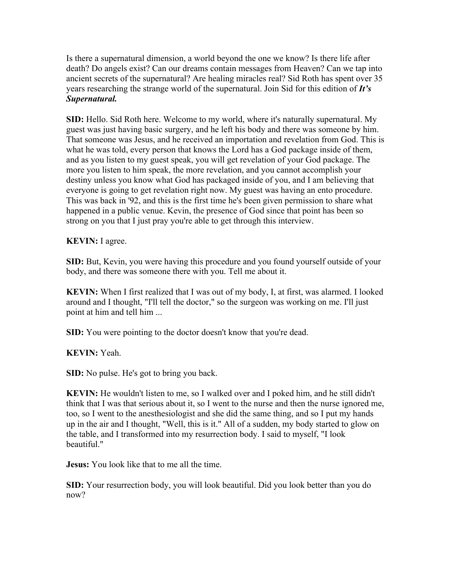Is there a supernatural dimension, a world beyond the one we know? Is there life after death? Do angels exist? Can our dreams contain messages from Heaven? Can we tap into ancient secrets of the supernatural? Are healing miracles real? Sid Roth has spent over 35 years researching the strange world of the supernatural. Join Sid for this edition of *It's Supernatural.*

**SID:** Hello. Sid Roth here. Welcome to my world, where it's naturally supernatural. My guest was just having basic surgery, and he left his body and there was someone by him. That someone was Jesus, and he received an importation and revelation from God. This is what he was told, every person that knows the Lord has a God package inside of them, and as you listen to my guest speak, you will get revelation of your God package. The more you listen to him speak, the more revelation, and you cannot accomplish your destiny unless you know what God has packaged inside of you, and I am believing that everyone is going to get revelation right now. My guest was having an ento procedure. This was back in '92, and this is the first time he's been given permission to share what happened in a public venue. Kevin, the presence of God since that point has been so strong on you that I just pray you're able to get through this interview.

**KEVIN:** I agree.

**SID:** But, Kevin, you were having this procedure and you found yourself outside of your body, and there was someone there with you. Tell me about it.

**KEVIN:** When I first realized that I was out of my body, I, at first, was alarmed. I looked around and I thought, "I'll tell the doctor," so the surgeon was working on me. I'll just point at him and tell him ...

**SID:** You were pointing to the doctor doesn't know that you're dead.

**KEVIN:** Yeah.

**SID:** No pulse. He's got to bring you back.

**KEVIN:** He wouldn't listen to me, so I walked over and I poked him, and he still didn't think that I was that serious about it, so I went to the nurse and then the nurse ignored me, too, so I went to the anesthesiologist and she did the same thing, and so I put my hands up in the air and I thought, "Well, this is it." All of a sudden, my body started to glow on the table, and I transformed into my resurrection body. I said to myself, "I look beautiful."

**Jesus:** You look like that to me all the time.

**SID:** Your resurrection body, you will look beautiful. Did you look better than you do now?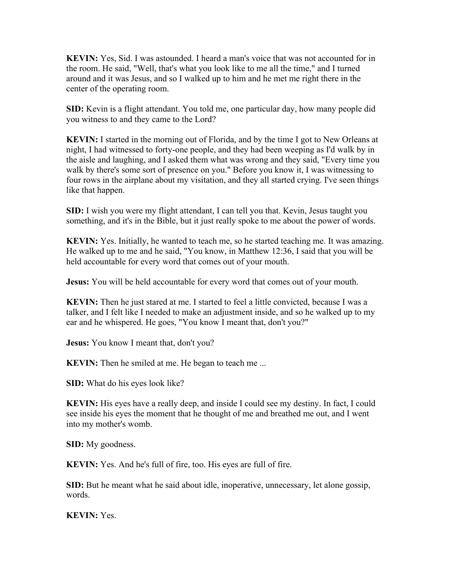**KEVIN:** Yes, Sid. I was astounded. I heard a man's voice that was not accounted for in the room. He said, "Well, that's what you look like to me all the time," and I turned around and it was Jesus, and so I walked up to him and he met me right there in the center of the operating room.

**SID:** Kevin is a flight attendant. You told me, one particular day, how many people did you witness to and they came to the Lord?

**KEVIN:** I started in the morning out of Florida, and by the time I got to New Orleans at night, I had witnessed to forty-one people, and they had been weeping as I'd walk by in the aisle and laughing, and I asked them what was wrong and they said, "Every time you walk by there's some sort of presence on you." Before you know it, I was witnessing to four rows in the airplane about my visitation, and they all started crying. I've seen things like that happen.

**SID:** I wish you were my flight attendant, I can tell you that. Kevin, Jesus taught you something, and it's in the Bible, but it just really spoke to me about the power of words.

**KEVIN:** Yes. Initially, he wanted to teach me, so he started teaching me. It was amazing. He walked up to me and he said, "You know, in Matthew 12:36, I said that you will be held accountable for every word that comes out of your mouth.

**Jesus:** You will be held accountable for every word that comes out of your mouth.

**KEVIN:** Then he just stared at me. I started to feel a little convicted, because I was a talker, and I felt like I needed to make an adjustment inside, and so he walked up to my ear and he whispered. He goes, "You know I meant that, don't you?"

**Jesus:** You know I meant that, don't you?

**KEVIN:** Then he smiled at me. He began to teach me ...

**SID:** What do his eyes look like?

**KEVIN:** His eyes have a really deep, and inside I could see my destiny. In fact, I could see inside his eyes the moment that he thought of me and breathed me out, and I went into my mother's womb.

**SID:** My goodness.

**KEVIN:** Yes. And he's full of fire, too. His eyes are full of fire.

**SID:** But he meant what he said about idle, inoperative, unnecessary, let alone gossip, words.

**KEVIN:** Yes.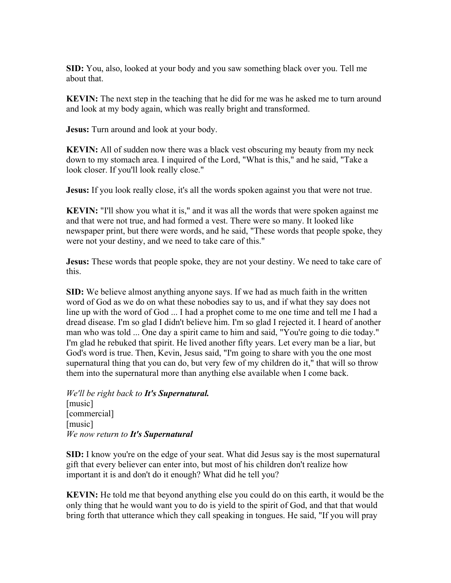**SID:** You, also, looked at your body and you saw something black over you. Tell me about that.

**KEVIN:** The next step in the teaching that he did for me was he asked me to turn around and look at my body again, which was really bright and transformed.

**Jesus:** Turn around and look at your body.

**KEVIN:** All of sudden now there was a black vest obscuring my beauty from my neck down to my stomach area. I inquired of the Lord, "What is this," and he said, "Take a look closer. If you'll look really close."

**Jesus:** If you look really close, it's all the words spoken against you that were not true.

**KEVIN:** "I'll show you what it is," and it was all the words that were spoken against me and that were not true, and had formed a vest. There were so many. It looked like newspaper print, but there were words, and he said, "These words that people spoke, they were not your destiny, and we need to take care of this."

**Jesus:** These words that people spoke, they are not your destiny. We need to take care of this.

**SID:** We believe almost anything anyone says. If we had as much faith in the written word of God as we do on what these nobodies say to us, and if what they say does not line up with the word of God ... I had a prophet come to me one time and tell me I had a dread disease. I'm so glad I didn't believe him. I'm so glad I rejected it. I heard of another man who was told ... One day a spirit came to him and said, "You're going to die today." I'm glad he rebuked that spirit. He lived another fifty years. Let every man be a liar, but God's word is true. Then, Kevin, Jesus said, "I'm going to share with you the one most supernatural thing that you can do, but very few of my children do it," that will so throw them into the supernatural more than anything else available when I come back.

*We'll be right back to It's Supernatural.* [music] [commercial] [music] *We now return to It's Supernatural*

**SID:** I know you're on the edge of your seat. What did Jesus say is the most supernatural gift that every believer can enter into, but most of his children don't realize how important it is and don't do it enough? What did he tell you?

**KEVIN:** He told me that beyond anything else you could do on this earth, it would be the only thing that he would want you to do is yield to the spirit of God, and that that would bring forth that utterance which they call speaking in tongues. He said, "If you will pray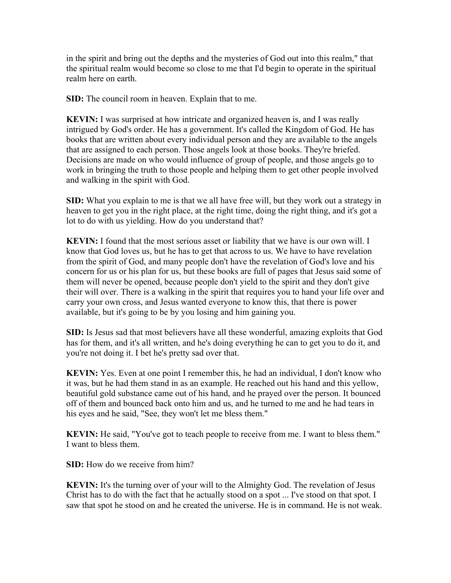in the spirit and bring out the depths and the mysteries of God out into this realm," that the spiritual realm would become so close to me that I'd begin to operate in the spiritual realm here on earth.

**SID:** The council room in heaven. Explain that to me.

**KEVIN:** I was surprised at how intricate and organized heaven is, and I was really intrigued by God's order. He has a government. It's called the Kingdom of God. He has books that are written about every individual person and they are available to the angels that are assigned to each person. Those angels look at those books. They're briefed. Decisions are made on who would influence of group of people, and those angels go to work in bringing the truth to those people and helping them to get other people involved and walking in the spirit with God.

**SID:** What you explain to me is that we all have free will, but they work out a strategy in heaven to get you in the right place, at the right time, doing the right thing, and it's got a lot to do with us yielding. How do you understand that?

**KEVIN:** I found that the most serious asset or liability that we have is our own will. I know that God loves us, but he has to get that across to us. We have to have revelation from the spirit of God, and many people don't have the revelation of God's love and his concern for us or his plan for us, but these books are full of pages that Jesus said some of them will never be opened, because people don't yield to the spirit and they don't give their will over. There is a walking in the spirit that requires you to hand your life over and carry your own cross, and Jesus wanted everyone to know this, that there is power available, but it's going to be by you losing and him gaining you.

**SID:** Is Jesus sad that most believers have all these wonderful, amazing exploits that God has for them, and it's all written, and he's doing everything he can to get you to do it, and you're not doing it. I bet he's pretty sad over that.

**KEVIN:** Yes. Even at one point I remember this, he had an individual, I don't know who it was, but he had them stand in as an example. He reached out his hand and this yellow, beautiful gold substance came out of his hand, and he prayed over the person. It bounced off of them and bounced back onto him and us, and he turned to me and he had tears in his eyes and he said, "See, they won't let me bless them."

**KEVIN:** He said, "You've got to teach people to receive from me. I want to bless them." I want to bless them.

**SID:** How do we receive from him?

**KEVIN:** It's the turning over of your will to the Almighty God. The revelation of Jesus Christ has to do with the fact that he actually stood on a spot ... I've stood on that spot. I saw that spot he stood on and he created the universe. He is in command. He is not weak.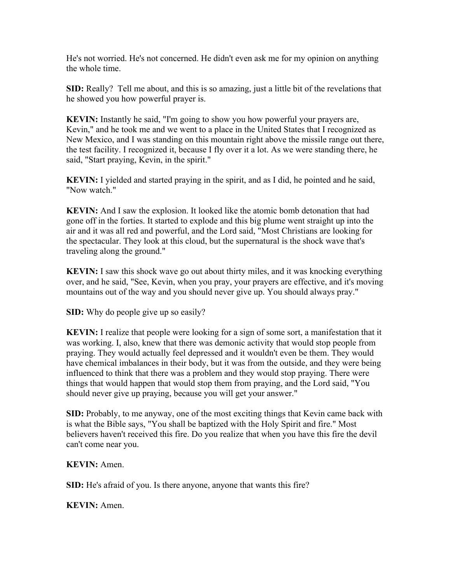He's not worried. He's not concerned. He didn't even ask me for my opinion on anything the whole time.

**SID:** Really?Tell me about, and this is so amazing, just a little bit of the revelations that he showed you how powerful prayer is.

**KEVIN:** Instantly he said, "I'm going to show you how powerful your prayers are, Kevin," and he took me and we went to a place in the United States that I recognized as New Mexico, and I was standing on this mountain right above the missile range out there, the test facility. I recognized it, because I fly over it a lot. As we were standing there, he said, "Start praying, Kevin, in the spirit."

**KEVIN:** I yielded and started praying in the spirit, and as I did, he pointed and he said, "Now watch."

**KEVIN:** And I saw the explosion. It looked like the atomic bomb detonation that had gone off in the forties. It started to explode and this big plume went straight up into the air and it was all red and powerful, and the Lord said, "Most Christians are looking for the spectacular. They look at this cloud, but the supernatural is the shock wave that's traveling along the ground."

**KEVIN:** I saw this shock wave go out about thirty miles, and it was knocking everything over, and he said, "See, Kevin, when you pray, your prayers are effective, and it's moving mountains out of the way and you should never give up. You should always pray."

**SID:** Why do people give up so easily?

**KEVIN:** I realize that people were looking for a sign of some sort, a manifestation that it was working. I, also, knew that there was demonic activity that would stop people from praying. They would actually feel depressed and it wouldn't even be them. They would have chemical imbalances in their body, but it was from the outside, and they were being influenced to think that there was a problem and they would stop praying. There were things that would happen that would stop them from praying, and the Lord said, "You should never give up praying, because you will get your answer."

**SID:** Probably, to me anyway, one of the most exciting things that Kevin came back with is what the Bible says, "You shall be baptized with the Holy Spirit and fire." Most believers haven't received this fire. Do you realize that when you have this fire the devil can't come near you.

**KEVIN:** Amen.

**SID:** He's afraid of you. Is there anyone, anyone that wants this fire?

**KEVIN:** Amen.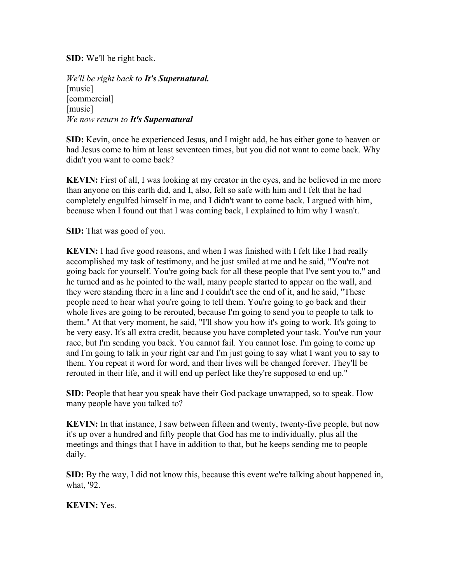**SID:** We'll be right back.

*We'll be right back to It's Supernatural.* [music] [commercial] [music] *We now return to It's Supernatural*

**SID:** Kevin, once he experienced Jesus, and I might add, he has either gone to heaven or had Jesus come to him at least seventeen times, but you did not want to come back. Why didn't you want to come back?

**KEVIN:** First of all, I was looking at my creator in the eyes, and he believed in me more than anyone on this earth did, and I, also, felt so safe with him and I felt that he had completely engulfed himself in me, and I didn't want to come back. I argued with him, because when I found out that I was coming back, I explained to him why I wasn't.

**SID:** That was good of you.

**KEVIN:** I had five good reasons, and when I was finished with I felt like I had really accomplished my task of testimony, and he just smiled at me and he said, "You're not going back for yourself. You're going back for all these people that I've sent you to," and he turned and as he pointed to the wall, many people started to appear on the wall, and they were standing there in a line and I couldn't see the end of it, and he said, "These people need to hear what you're going to tell them. You're going to go back and their whole lives are going to be rerouted, because I'm going to send you to people to talk to them." At that very moment, he said, "I'll show you how it's going to work. It's going to be very easy. It's all extra credit, because you have completed your task. You've run your race, but I'm sending you back. You cannot fail. You cannot lose. I'm going to come up and I'm going to talk in your right ear and I'm just going to say what I want you to say to them. You repeat it word for word, and their lives will be changed forever. They'll be rerouted in their life, and it will end up perfect like they're supposed to end up."

**SID:** People that hear you speak have their God package unwrapped, so to speak. How many people have you talked to?

**KEVIN:** In that instance, I saw between fifteen and twenty, twenty-five people, but now it's up over a hundred and fifty people that God has me to individually, plus all the meetings and things that I have in addition to that, but he keeps sending me to people daily.

**SID:** By the way, I did not know this, because this event we're talking about happened in, what, '92.

**KEVIN:** Yes.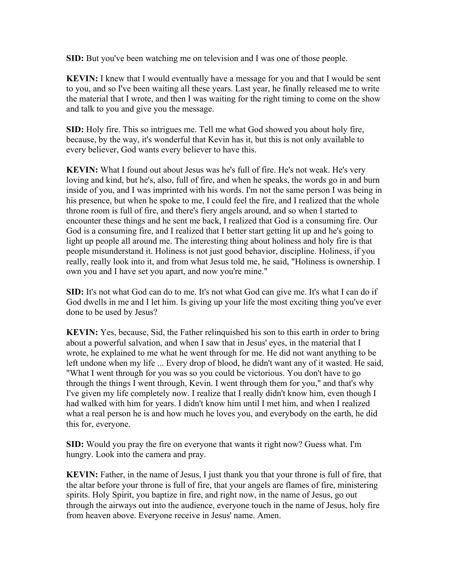**SID:** But you've been watching me on television and I was one of those people.

**KEVIN:** I knew that I would eventually have a message for you and that I would be sent to you, and so I've been waiting all these years. Last year, he finally released me to write the material that I wrote, and then I was waiting for the right timing to come on the show and talk to you and give you the message.

**SID:** Holy fire. This so intrigues me. Tell me what God showed you about holy fire, because, by the way, it's wonderful that Kevin has it, but this is not only available to every believer, God wants every believer to have this.

**KEVIN:** What I found out about Jesus was he's full of fire. He's not weak. He's very loving and kind, but he's, also, full of fire, and when he speaks, the words go in and burn inside of you, and I was imprinted with his words. I'm not the same person I was being in his presence, but when he spoke to me, I could feel the fire, and I realized that the whole throne room is full of fire, and there's fiery angels around, and so when I started to encounter these things and he sent me back, I realized that God is a consuming fire. Our God is a consuming fire, and I realized that I better start getting lit up and he's going to light up people all around me. The interesting thing about holiness and holy fire is that people misunderstand it. Holiness is not just good behavior, discipline. Holiness, if you really, really look into it, and from what Jesus told me, he said, "Holiness is ownership. I own you and I have set you apart, and now you're mine."

**SID:** It's not what God can do to me. It's not what God can give me. It's what I can do if God dwells in me and I let him. Is giving up your life the most exciting thing you've ever done to be used by Jesus?

**KEVIN:** Yes, because, Sid, the Father relinquished his son to this earth in order to bring about a powerful salvation, and when I saw that in Jesus' eyes, in the material that I wrote, he explained to me what he went through for me. He did not want anything to be left undone when my life ... Every drop of blood, he didn't want any of it wasted. He said, "What I went through for you was so you could be victorious. You don't have to go through the things I went through, Kevin. I went through them for you," and that's why I've given my life completely now. I realize that I really didn't know him, even though I had walked with him for years. I didn't know him until I met him, and when I realized what a real person he is and how much he loves you, and everybody on the earth, he did this for, everyone.

**SID:** Would you pray the fire on everyone that wants it right now? Guess what. I'm hungry. Look into the camera and pray.

**KEVIN:** Father, in the name of Jesus, I just thank you that your throne is full of fire, that the altar before your throne is full of fire, that your angels are flames of fire, ministering spirits. Holy Spirit, you baptize in fire, and right now, in the name of Jesus, go out through the airways out into the audience, everyone touch in the name of Jesus, holy fire from heaven above. Everyone receive in Jesus' name. Amen.